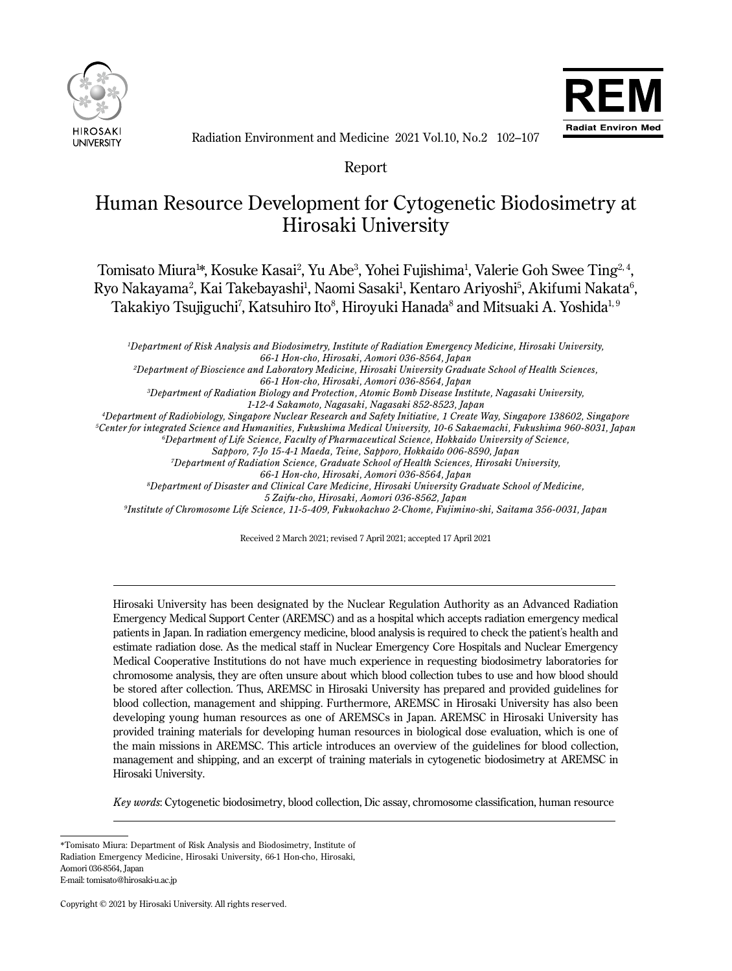



Radiation Environment and Medicine 2021 Vol.10, No.2 102–107

Report

# Human Resource Development for Cytogenetic Biodosimetry at Hirosaki University

Tomisato Miura1\*, Kosuke Kasai<sup>2</sup>, Yu Abe<sup>3</sup>, Yohei Fujishima<sup>1</sup>, Valerie Goh Swee Ting<sup>2, 4</sup>, Ryo Nakayama<sup>2</sup>, Kai Takebayashi<sup>1</sup>, Naomi Sasaki<sup>1</sup>, Kentaro Ariyoshi<sup>5</sup>, Akifumi Nakata<sup>6</sup>, Takakiyo Tsujiguchi<sup>7</sup>, Katsuhiro Ito $^8$ , Hiroyuki Hanada $^8$  and Mitsuaki A. Yoshida $^{1,\,9}$ 

*1 Department of Risk Analysis and Biodosimetry, Institute of Radiation Emergency Medicine, Hirosaki University, 66-1 Hon-cho, Hirosaki, Aomori 036-8564, Japan*

*2 Department of Bioscience and Laboratory Medicine, Hirosaki University Graduate School of Health Sciences,*

*66-1 Hon-cho, Hirosaki, Aomori 036-8564, Japan*

*3 Department of Radiation Biology and Protection, Atomic Bomb Disease Institute, Nagasaki University,*

*1-12-4 Sakamoto, Nagasaki, Nagasaki 852-8523, Japan*

*4 Department of Radiobiology, Singapore Nuclear Research and Safety Initiative, 1 Create Way, Singapore 138602, Singapore*

*5 Center for integrated Science and Humanities, Fukushima Medical University, 10-6 Sakaemachi, Fukushima 960-8031, Japan*

*6 Department of Life Science, Faculty of Pharmaceutical Science, Hokkaido University of Science,*

*Sapporo, 7-Jo 15-4-1 Maeda, Teine, Sapporo, Hokkaido 006-8590, Japan*

*7Department of Radiation Science, Graduate School of Health Sciences, Hirosaki University,*

*66-1 Hon-cho, Hirosaki, Aomori 036-8564, Japan*

*8 Department of Disaster and Clinical Care Medicine, Hirosaki University Graduate School of Medicine, 5 Zaifu-cho, Hirosaki, Aomori 036-8562, Japan*

*9 Institute of Chromosome Life Science, 11-5-409, Fukuokachuo 2-Chome, Fujimino-shi, Saitama 356-0031, Japan*

Received 2 March 2021; revised 7 April 2021; accepted 17 April 2021

Hirosaki University has been designated by the Nuclear Regulation Authority as an Advanced Radiation Emergency Medical Support Center (AREMSC) and as a hospital which accepts radiation emergency medical patients in Japan. In radiation emergency medicine, blood analysis is required to check the patient's health and estimate radiation dose. As the medical staff in Nuclear Emergency Core Hospitals and Nuclear Emergency Medical Cooperative Institutions do not have much experience in requesting biodosimetry laboratories for chromosome analysis, they are often unsure about which blood collection tubes to use and how blood should be stored after collection. Thus, AREMSC in Hirosaki University has prepared and provided guidelines for blood collection, management and shipping. Furthermore, AREMSC in Hirosaki University has also been developing young human resources as one of AREMSCs in Japan. AREMSC in Hirosaki University has provided training materials for developing human resources in biological dose evaluation, which is one of the main missions in AREMSC. This article introduces an overview of the guidelines for blood collection, management and shipping, and an excerpt of training materials in cytogenetic biodosimetry at AREMSC in Hirosaki University.

*Key words*: Cytogenetic biodosimetry, blood collection, Dic assay, chromosome classification, human resource

 $\overline{a}$ 

<sup>\*</sup>Tomisato Miura: Department of Risk Analysis and Biodosimetry, Institute of Radiation Emergency Medicine, Hirosaki University, 66-1 Hon-cho, Hirosaki, Aomori 036-8564, Japan

E-mail: tomisato@hirosaki-u.ac.jp

Copyright © 2021 by Hirosaki University. All rights reserved.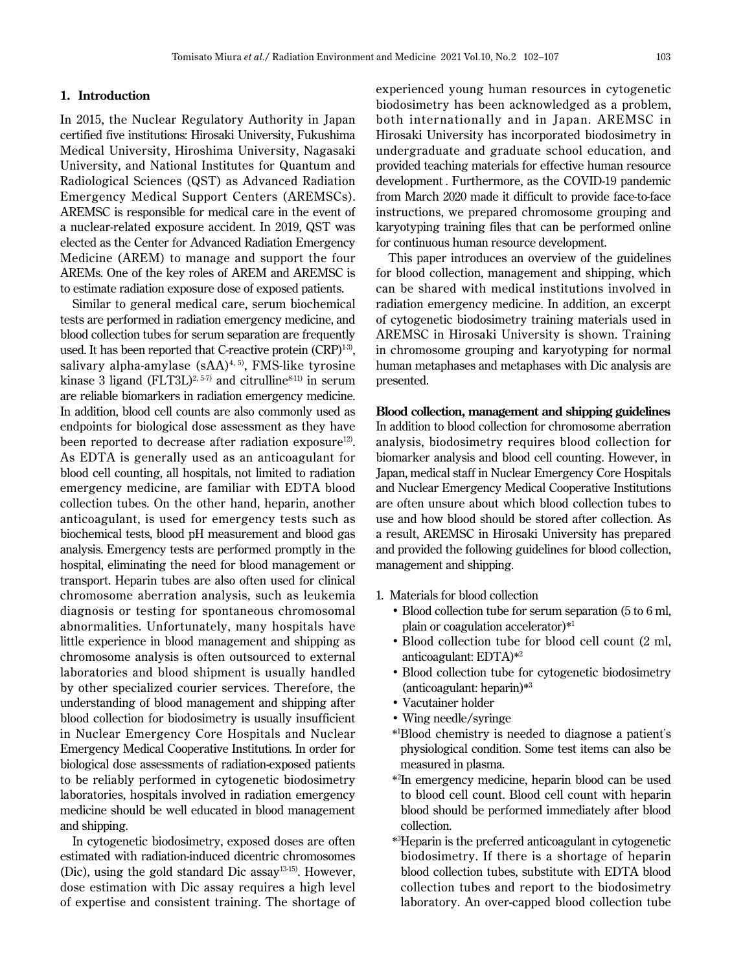### **1. Introduction**

In 2015, the Nuclear Regulatory Authority in Japan certified five institutions: Hirosaki University, Fukushima Medical University, Hiroshima University, Nagasaki University, and National Institutes for Quantum and Radiological Sciences (QST) as Advanced Radiation Emergency Medical Support Centers (AREMSCs). AREMSC is responsible for medical care in the event of a nuclear-related exposure accident. In 2019, QST was elected as the Center for Advanced Radiation Emergency Medicine (AREM) to manage and support the four AREMs. One of the key roles of AREM and AREMSC is to estimate radiation exposure dose of exposed patients.

Similar to general medical care, serum biochemical tests are performed in radiation emergency medicine, and blood collection tubes for serum separation are frequently used. It has been reported that C-reactive protein  $(CRP)^{1-3}$ , salivary alpha-amylase  $(sAA)^{4, 5}$ , FMS-like tyrosine kinase 3 ligand (FLT3L)<sup>2, 5-7)</sup> and citrulline<sup>8-11)</sup> in serum are reliable biomarkers in radiation emergency medicine. In addition, blood cell counts are also commonly used as endpoints for biological dose assessment as they have been reported to decrease after radiation exposure<sup>12)</sup>. As EDTA is generally used as an anticoagulant for blood cell counting, all hospitals, not limited to radiation emergency medicine, are familiar with EDTA blood collection tubes. On the other hand, heparin, another anticoagulant, is used for emergency tests such as biochemical tests, blood pH measurement and blood gas analysis. Emergency tests are performed promptly in the hospital, eliminating the need for blood management or transport. Heparin tubes are also often used for clinical chromosome aberration analysis, such as leukemia diagnosis or testing for spontaneous chromosomal abnormalities. Unfortunately, many hospitals have little experience in blood management and shipping as chromosome analysis is often outsourced to external laboratories and blood shipment is usually handled by other specialized courier services. Therefore, the understanding of blood management and shipping after blood collection for biodosimetry is usually insufficient in Nuclear Emergency Core Hospitals and Nuclear Emergency Medical Cooperative Institutions. In order for biological dose assessments of radiation-exposed patients to be reliably performed in cytogenetic biodosimetry laboratories, hospitals involved in radiation emergency medicine should be well educated in blood management and shipping.

In cytogenetic biodosimetry, exposed doses are often estimated with radiation-induced dicentric chromosomes (Dic), using the gold standard Dic assay13-15). However, dose estimation with Dic assay requires a high level of expertise and consistent training. The shortage of experienced young human resources in cytogenetic biodosimetry has been acknowledged as a problem, both internationally and in Japan. AREMSC in Hirosaki University has incorporated biodosimetry in undergraduate and graduate school education, and provided teaching materials for effective human resource development . Furthermore, as the COVID-19 pandemic from March 2020 made it difficult to provide face-to-face instructions, we prepared chromosome grouping and karyotyping training files that can be performed online for continuous human resource development.

This paper introduces an overview of the guidelines for blood collection, management and shipping, which can be shared with medical institutions involved in radiation emergency medicine. In addition, an excerpt of cytogenetic biodosimetry training materials used in AREMSC in Hirosaki University is shown. Training in chromosome grouping and karyotyping for normal human metaphases and metaphases with Dic analysis are presented.

**Blood collection, management and shipping guidelines** In addition to blood collection for chromosome aberration analysis, biodosimetry requires blood collection for biomarker analysis and blood cell counting. However, in Japan, medical staff in Nuclear Emergency Core Hospitals and Nuclear Emergency Medical Cooperative Institutions are often unsure about which blood collection tubes to use and how blood should be stored after collection. As a result, AREMSC in Hirosaki University has prepared and provided the following guidelines for blood collection, management and shipping.

- 1. Materials for blood collection
	- Blood collection tube for serum separation (5 to 6 ml, plain or coagulation accelerator)\*<sup>1</sup>
	- Blood collection tube for blood cell count (2 ml, anticoagulant: EDTA)\*<sup>2</sup>
	- Blood collection tube for cytogenetic biodosimetry (anticoagulant: heparin)\*<sup>3</sup>
	- •Vacutainer holder
	-
- •Wing needle/syringe \*<sup>1</sup> Blood chemistry is needed to diagnose a patient's physiological condition. Some test items can also be
- measured in plasma. \*<sup>2</sup> In emergency medicine, heparin blood can be used to blood cell count. Blood cell count with heparin blood should be performed immediately after blood collection. \*<sup>3</sup> Heparin is the preferred anticoagulant in cytogenetic
	- biodosimetry. If there is a shortage of heparin blood collection tubes, substitute with EDTA blood collection tubes and report to the biodosimetry laboratory. An over-capped blood collection tube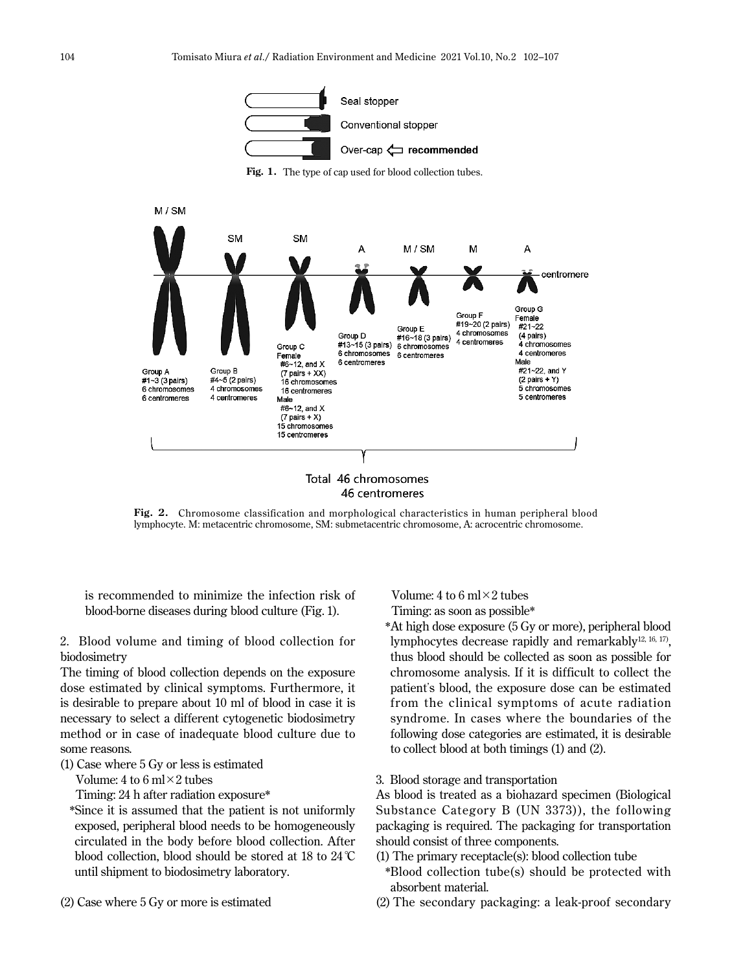

Fig. 1. The type of cap used for blood collection tubes.



**Fig. 2.** Chromosome classification and morphological characteristics in human peripheral blood

lymphocyte. M: metacentric chromosome, SM: submetacentric chromosome, A: acrocentric chromosome.

is recommended to minimize the infection risk of blood-borne diseases during blood culture (Fig. 1).

2. Blood volume and timing of blood collection for biodosimetry

The timing of blood collection depends on the exposure dose estimated by clinical symptoms. Furthermore, it is desirable to prepare about 10 ml of blood in case it is necessary to select a different cytogenetic biodosimetry method or in case of inadequate blood culture due to some reasons.

(1) Case where 5 Gy or less is estimated

Volume: 4 to 6 ml $\times$ 2 tubes

Timing: 24 h after radiation exposure\*

- \* Since it is assumed that the patient is not uniformly exposed, peripheral blood needs to be homogeneously circulated in the body before blood collection. After blood collection, blood should be stored at 18 to 24°C until shipment to biodosimetry laboratory.
- (2) Case where 5 Gy or more is estimated

Volume: 4 to 6 ml $\times$ 2 tubes Timing: as soon as possible\*

- \* At high dose exposure (5 Gy or more), peripheral blood lymphocytes decrease rapidly and remarkably<sup>12, 16, 17</sup>), thus blood should be collected as soon as possible for chromosome analysis. If it is difficult to collect the patient's blood, the exposure dose can be estimated from the clinical symptoms of acute radiation syndrome. In cases where the boundaries of the following dose categories are estimated, it is desirable to collect blood at both timings (1) and (2).
- 3. Blood storage and transportation

As blood is treated as a biohazard specimen (Biological Substance Category B (UN 3373)), the following packaging is required. The packaging for transportation should consist of three components.

- (1) The primary receptacle(s): blood collection tube
- \* Blood collection tube(s) should be protected with absorbent material.
- (2) The secondary packaging: a leak-proof secondary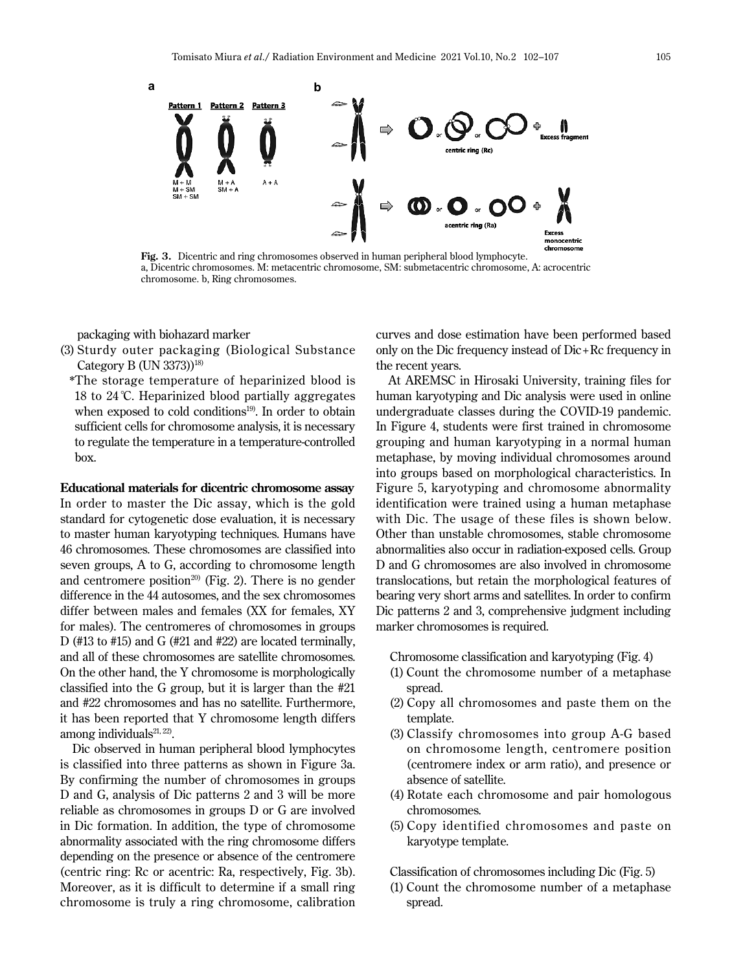

**Fig. 3.** Dicentric and ring chromosomes observed in human peripheral blood lymphocyte. a, Dicentric chromosomes. M: metacentric chromosome, SM: submetacentric chromosome, A: acrocentric chromosome. b, Ring chromosomes.

packaging with biohazard marker

- (3) Sturdy outer packaging (Biological Substance Category B (UN 3373))<sup>18)</sup>
	- \* The storage temperature of heparinized blood is 18 to 24°C. Heparinized blood partially aggregates when exposed to cold conditions<sup>19)</sup>. In order to obtain sufficient cells for chromosome analysis, it is necessary to regulate the temperature in a temperature-controlled box.

**Educational materials for dicentric chromosome assay** In order to master the Dic assay, which is the gold standard for cytogenetic dose evaluation, it is necessary to master human karyotyping techniques. Humans have 46 chromosomes. These chromosomes are classified into seven groups, A to G, according to chromosome length and centromere position<sup>20)</sup> (Fig. 2). There is no gender difference in the 44 autosomes, and the sex chromosomes differ between males and females (XX for females, XY for males). The centromeres of chromosomes in groups D (#13 to #15) and G (#21 and #22) are located terminally, and all of these chromosomes are satellite chromosomes. On the other hand, the Y chromosome is morphologically classified into the G group, but it is larger than the #21 and #22 chromosomes and has no satellite. Furthermore, it has been reported that Y chromosome length differs among individuals $21, 22$ ).

Dic observed in human peripheral blood lymphocytes is classified into three patterns as shown in Figure 3a. By confirming the number of chromosomes in groups D and G, analysis of Dic patterns 2 and 3 will be more reliable as chromosomes in groups D or G are involved in Dic formation. In addition, the type of chromosome abnormality associated with the ring chromosome differs depending on the presence or absence of the centromere (centric ring: Rc or acentric: Ra, respectively, Fig. 3b). Moreover, as it is difficult to determine if a small ring chromosome is truly a ring chromosome, calibration curves and dose estimation have been performed based only on the Dic frequency instead of Dic+Rc frequency in the recent years.

At AREMSC in Hirosaki University, training files for human karyotyping and Dic analysis were used in online undergraduate classes during the COVID-19 pandemic. In Figure 4, students were first trained in chromosome grouping and human karyotyping in a normal human metaphase, by moving individual chromosomes around into groups based on morphological characteristics. In Figure 5, karyotyping and chromosome abnormality identification were trained using a human metaphase with Dic. The usage of these files is shown below. Other than unstable chromosomes, stable chromosome abnormalities also occur in radiation-exposed cells. Group D and G chromosomes are also involved in chromosome translocations, but retain the morphological features of bearing very short arms and satellites. In order to confirm Dic patterns 2 and 3, comprehensive judgment including marker chromosomes is required.

Chromosome classification and karyotyping (Fig. 4)

- (1) Count the chromosome number of a metaphase spread.
- (2) Copy all chromosomes and paste them on the template.
- (3) Classify chromosomes into group A-G based on chromosome length, centromere position (centromere index or arm ratio), and presence or absence of satellite.
- (4) Rotate each chromosome and pair homologous chromosomes.
- (5) Copy identified chromosomes and paste on karyotype template.

Classification of chromosomes including Dic (Fig. 5)

(1) Count the chromosome number of a metaphase spread.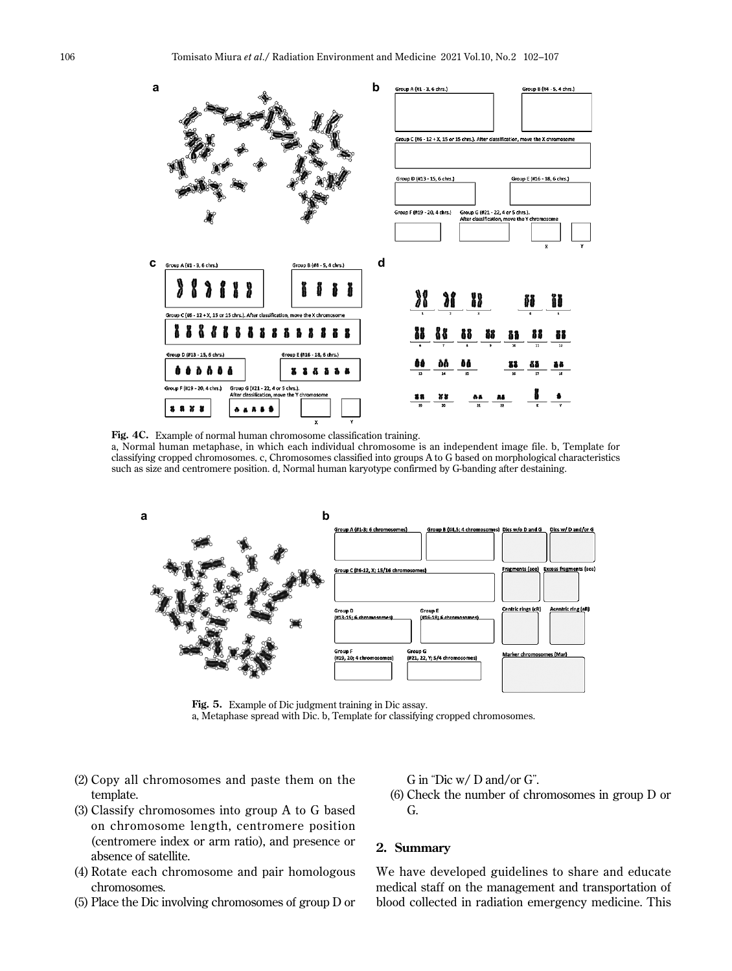

**Fig. 4C.** Example of normal human chromosome classification training.

a, Normal human metaphase, in which each individual chromosome is an independent image file. b, Template for classifying cropped chromosomes. c, Chromosomes classified into groups A to G based on morphological characteristics such as size and centromere position. d, Normal human karyotype confirmed by G-banding after destaining.



**Fig. 5.** Example of Dic judgment training in Dic assay. a, Metaphase spread with Dic. b, Template for classifying cropped chromosomes.

- (2) Copy all chromosomes and paste them on the template.
- (3) Classify chromosomes into group A to G based on chromosome length, centromere position (centromere index or arm ratio), and presence or absence of satellite.
- (4) Rotate each chromosome and pair homologous chromosomes.
- (5) Place the Dic involving chromosomes of group D or

G in "Dic w/ D and/or G".

(6) Check the number of chromosomes in group D or G.

## **2. Summary**

We have developed guidelines to share and educate medical staff on the management and transportation of blood collected in radiation emergency medicine. This